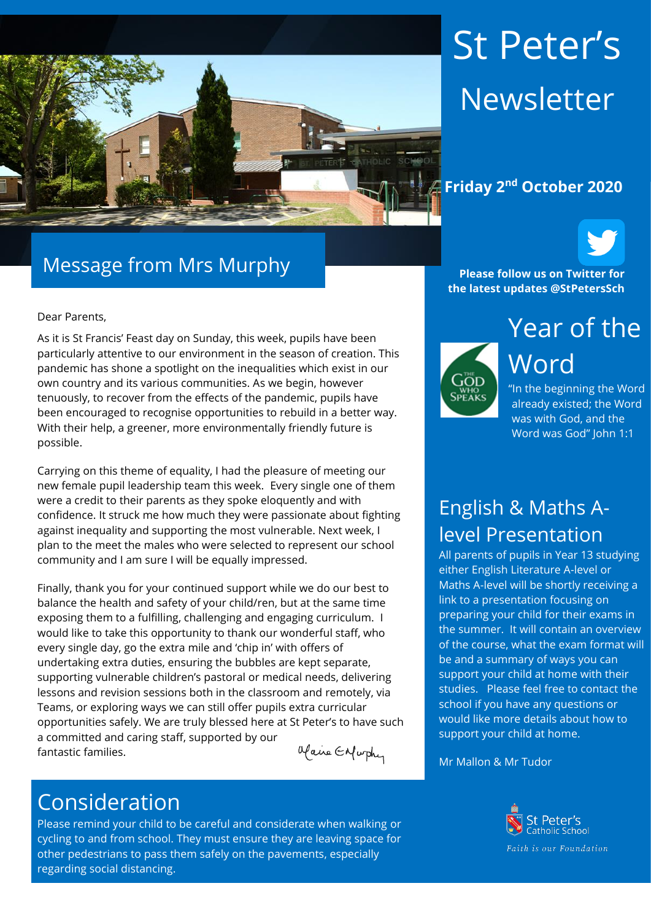

# St Peter's Newsletter



#### Message from Mrs Murphy

Dear Parents,

As it is St Francis' Feast day on Sunday, this week, pupils have been particularly attentive to our environment in the season of creation. This pandemic has shone a spotlight on the inequalities which exist in our own country and its various communities. As we begin, however tenuously, to recover from the effects of the pandemic, pupils have been encouraged to recognise opportunities to rebuild in a better way. With their help, a greener, more environmentally friendly future is possible.

Carrying on this theme of equality, I had the pleasure of meeting our new female pupil leadership team this week. Every single one of them were a credit to their parents as they spoke eloquently and with confidence. It struck me how much they were passionate about fighting against inequality and supporting the most vulnerable. Next week, I plan to the meet the males who were selected to represent our school community and I am sure I will be equally impressed.

Finally, thank you for your continued support while we do our best to balance the health and safety of your child/ren, but at the same time exposing them to a fulfilling, challenging and engaging curriculum. I would like to take this opportunity to thank our wonderful staff, who every single day, go the extra mile and 'chip in' with offers of undertaking extra duties, ensuring the bubbles are kept separate, supporting vulnerable children's pastoral or medical needs, delivering lessons and revision sessions both in the classroom and remotely, via Teams, or exploring ways we can still offer pupils extra curricular opportunities safely. We are truly blessed here at St Peter's to have such a committed and caring staff, supported by our alaire Enfurthy fantastic families.

## Consideration

Please remind your child to be careful and considerate when walking or cycling to and from school. They must ensure they are leaving space for other pedestrians to pass them safely on the pavements, especially regarding social distancing.

**Please follow us on Twitter for the latest updates @StPetersSch**



Year of the Word "In the beginning the Word

already existed; the Word was with God, and the Word was God" John 1:1

#### English & Maths Alevel Presentation

All parents of pupils in Year 13 studying either English Literature A-level or Maths A-level will be shortly receiving a link to a presentation focusing on preparing your child for their exams in the summer. It will contain an overview of the course, what the exam format will be and a summary of ways you can support your child at home with their studies. Please feel free to contact the school if you have any questions or would like more details about how to support your child at home.

Mr Mallon & Mr Tudor

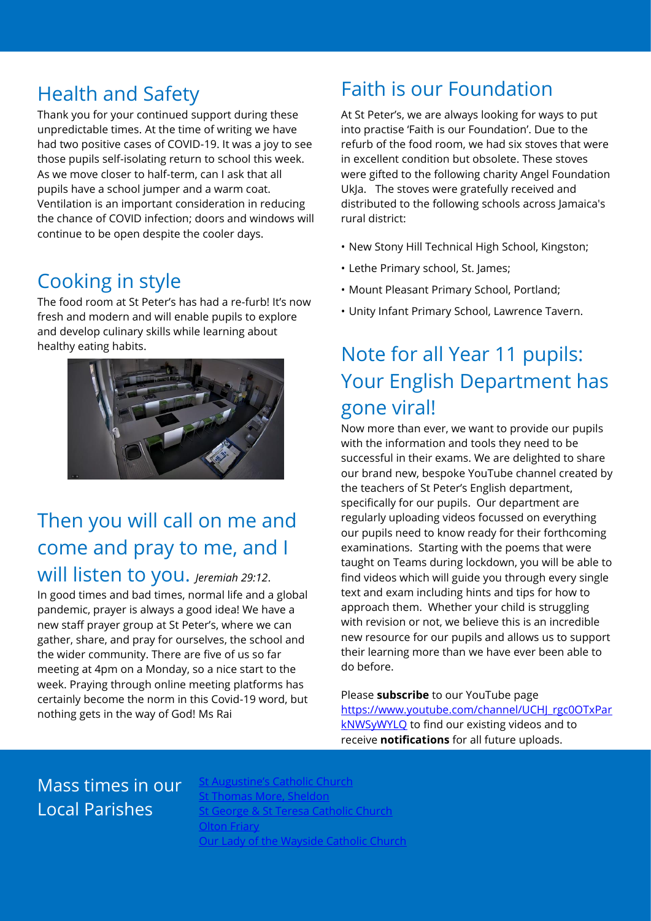Thank you for your continued support during these unpredictable times. At the time of writing we have had two positive cases of COVID-19. It was a joy to see those pupils self-isolating return to school this week. As we move closer to half-term, can I ask that all pupils have a school jumper and a warm coat. Ventilation is an important consideration in reducing the chance of COVID infection; doors and windows will continue to be open despite the cooler days.

### Cooking in style

The food room at St Peter's has had a re-furb! It's now fresh and modern and will enable pupils to explore and develop culinary skills while learning about healthy eating habits.



#### Then you will call on me and come and pray to me, and I will listen to you. *Jeremiah 29:12*.

In good times and bad times, normal life and a global pandemic, prayer is always a good idea! We have a new staff prayer group at St Peter's, where we can gather, share, and pray for ourselves, the school and the wider community. There are five of us so far meeting at 4pm on a Monday, so a nice start to the week. Praying through online meeting platforms has certainly become the norm in this Covid-19 word, but nothing gets in the way of God! Ms Rai

## Health and Safety **Faith is our Foundation**

At St Peter's, we are always looking for ways to put into practise 'Faith is our Foundation'. Due to the refurb of the food room, we had six stoves that were in excellent condition but obsolete. These stoves were gifted to the following charity Angel Foundation UkJa. The stoves were gratefully received and distributed to the following schools across Jamaica's rural district:

- New Stony Hill Technical High School, Kingston;
- Lethe Primary school, St. James;
- Mount Pleasant Primary School, Portland;
- Unity Infant Primary School, Lawrence Tavern.

### Note for all Year 11 pupils: Your English Department has gone viral!

Now more than ever, we want to provide our pupils with the information and tools they need to be successful in their exams. We are delighted to share our brand new, bespoke YouTube channel created by the teachers of St Peter's English department, specifically for our pupils. Our department are regularly uploading videos focussed on everything our pupils need to know ready for their forthcoming examinations. Starting with the poems that were taught on Teams during lockdown, you will be able to find videos which will guide you through every single text and exam including hints and tips for how to approach them. Whether your child is struggling with revision or not, we believe this is an incredible new resource for our pupils and allows us to support their learning more than we have ever been able to do before.

Please **subscribe** to our YouTube page [https://www.youtube.com/channel/UCHJ\\_rgc0OTxPar](https://www.youtube.com/channel/UCHJ_rgc0OTxParkNWSyWYLQ) [kNWSyWYLQ](https://www.youtube.com/channel/UCHJ_rgc0OTxParkNWSyWYLQ) to find our existing videos and to receive **notifications** for all future uploads.

#### Mass times in our Local Parishes

**[St Augustine's Catholic Church](https://www.staugustinesolihull.org.uk/welcome/mass-book-your-place/)** [St Thomas More, Sheldon](https://www.stthomasmorercchurch.com/) [St George & St Teresa Catholic Church](https://www.catholicchurch.dorridge.uk/) **[Olton Friary](https://www.oltonfriary.org.uk/)** [Our Lady of the Wayside Catholic Church](http://ourladyofthewaysidechurchshirley.co.uk/)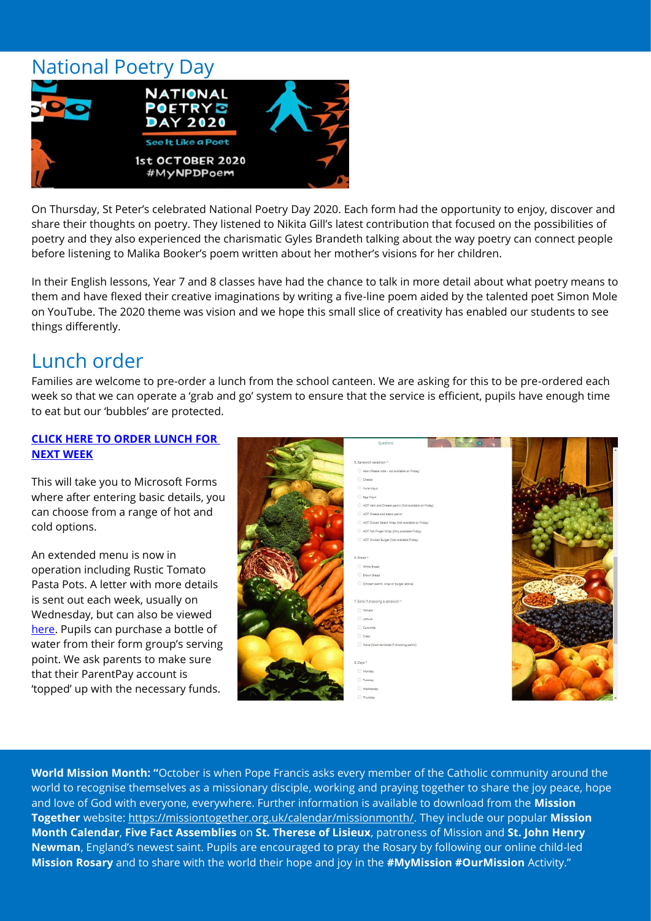#### National Poetry Day



On Thursday, St Peter's celebrated National Poetry Day 2020. Each form had the opportunity to enjoy, discover and share their thoughts on poetry. They listened to Nikita Gill's latest contribution that focused on the possibilities of poetry and they also experienced the charismatic Gyles Brandeth talking about the way poetry can connect people before listening to Malika Booker's poem written about her mother's visions for her children.

In their English lessons, Year 7 and 8 classes have had the chance to talk in more detail about what poetry means to them and have flexed their creative imaginations by writing a five-line poem aided by the talented poet Simon Mole on YouTube. The 2020 theme was vision and we hope this small slice of creativity has enabled our students to see things differently.

#### Lunch order

Families are welcome to pre-order a lunch from the school canteen. We are asking for this to be pre-ordered each week so that we can operate a 'grab and go' system to ensure that the service is efficient, pupils have enough time to eat but our 'bubbles' are protected.

#### **[CLICK HERE TO ORDER LUNCH FOR](https://forms.office.com/Pages/ResponsePage.aspx?id=WsZYFMHDIESQA-R2NHXE9sGWKd9gVAZLhvRethraXx5UOEtMNk1KSkoyNkJZNVM5TzdLN0ZMUUcwWS4u)  [NEXT WEEK](https://forms.office.com/Pages/ResponsePage.aspx?id=WsZYFMHDIESQA-R2NHXE9sGWKd9gVAZLhvRethraXx5UOEtMNk1KSkoyNkJZNVM5TzdLN0ZMUUcwWS4u)**

This will take you to Microsoft Forms where after entering basic details, you can choose from a range of hot and cold options.

An extended menu is now in operation including Rustic Tomato Pasta Pots. A letter with more details is sent out each week, usually on Wednesday, but can also be viewed [here.](file://///file03/staff%20share/St%20Joseph/September%202020/Letters/August/Lunch%20Pre-order%20letter%20for%205th%20October%20-%209th%20October.pdf) Pupils can purchase a bottle of water from their form group's serving point. We ask parents to make sure that their ParentPay account is 'topped' up with the necessary funds.





**World Mission Month: "**October is when Pope Francis asks every member of the Catholic community around the world to recognise themselves as a missionary disciple, working and praying together to share the joy peace, hope and love of God with everyone, everywhere. Further information is available to download from the **Mission Together** website: [https://missiontogether.org.uk/calendar/missionmonth/.](https://protect-eu.mimecast.com/s/e6hBCgnDptqpxNSodQ7-?domain=missiontogether.org.uk) They include our popular **Mission Month Calendar**, **Five Fact Assemblies** on **St. Therese of Lisieux**, patroness of Mission and **St. John Henry Newman**, England's newest saint. Pupils are encouraged to pray the Rosary by following our online child-led **Mission Rosary** and to share with the world their hope and joy in the **#MyMission #OurMission** Activity."